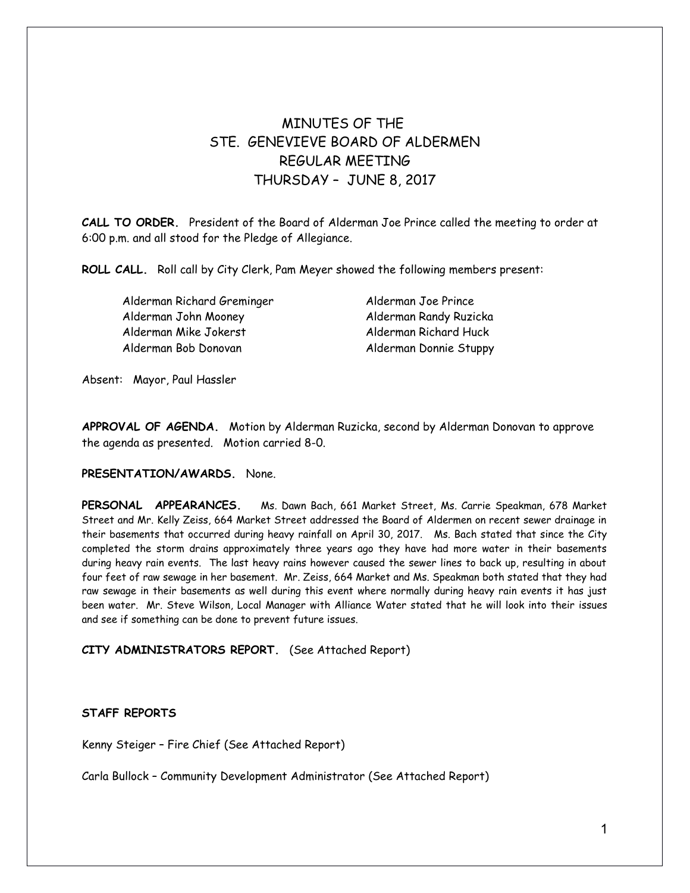# MINUTES OF THE STE. GENEVIEVE BOARD OF ALDERMEN REGULAR MEETING THURSDAY – JUNE 8, 2017

**CALL TO ORDER.** President of the Board of Alderman Joe Prince called the meeting to order at 6:00 p.m. and all stood for the Pledge of Allegiance.

**ROLL CALL.** Roll call by City Clerk, Pam Meyer showed the following members present:

Alderman Richard Greminger Alderman Joe Prince Alderman John Mooney Alderman Randy Ruzicka Alderman Mike Jokerst Alderman Richard Huck Alderman Bob Donovan Alderman Donnie Stuppy

Absent: Mayor, Paul Hassler

**APPROVAL OF AGENDA.** Motion by Alderman Ruzicka, second by Alderman Donovan to approve the agenda as presented. Motion carried 8-0.

## **PRESENTATION/AWARDS.** None.

**PERSONAL APPEARANCES.** Ms. Dawn Bach, 661 Market Street, Ms. Carrie Speakman, 678 Market Street and Mr. Kelly Zeiss, 664 Market Street addressed the Board of Aldermen on recent sewer drainage in their basements that occurred during heavy rainfall on April 30, 2017. Ms. Bach stated that since the City completed the storm drains approximately three years ago they have had more water in their basements during heavy rain events. The last heavy rains however caused the sewer lines to back up, resulting in about four feet of raw sewage in her basement. Mr. Zeiss, 664 Market and Ms. Speakman both stated that they had raw sewage in their basements as well during this event where normally during heavy rain events it has just been water. Mr. Steve Wilson, Local Manager with Alliance Water stated that he will look into their issues and see if something can be done to prevent future issues.

# **CITY ADMINISTRATORS REPORT.** (See Attached Report)

# **STAFF REPORTS**

Kenny Steiger – Fire Chief (See Attached Report)

Carla Bullock – Community Development Administrator (See Attached Report)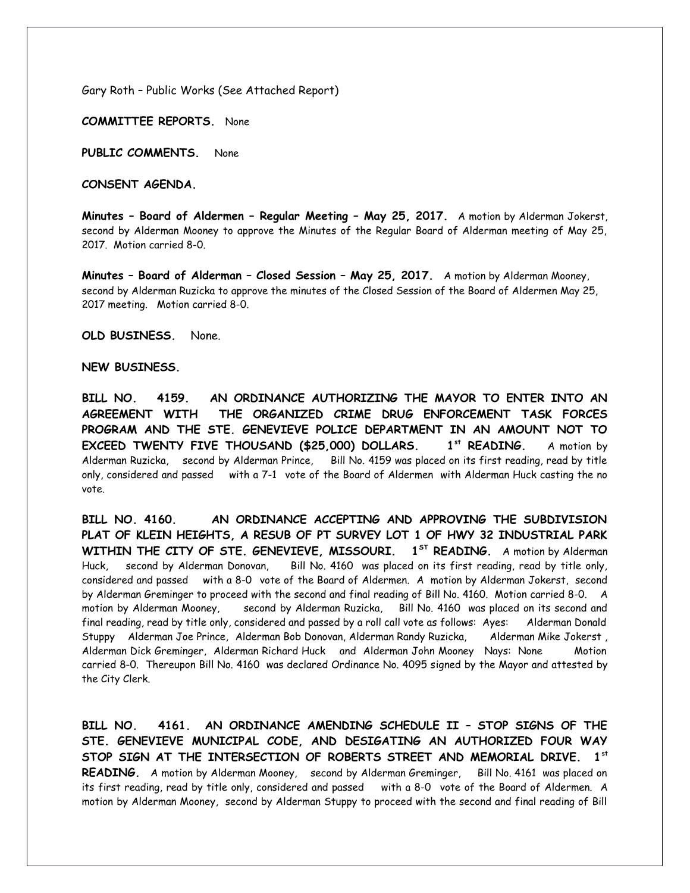Gary Roth – Public Works (See Attached Report)

**COMMITTEE REPORTS.** None

**PUBLIC COMMENTS.** None

**CONSENT AGENDA.** 

**Minutes – Board of Aldermen – Regular Meeting – May 25, 2017.** A motion by Alderman Jokerst, second by Alderman Mooney to approve the Minutes of the Regular Board of Alderman meeting of May 25, 2017. Motion carried 8-0.

**Minutes – Board of Alderman – Closed Session – May 25, 2017.** A motion by Alderman Mooney, second by Alderman Ruzicka to approve the minutes of the Closed Session of the Board of Aldermen May 25, 2017 meeting. Motion carried 8-0.

**OLD BUSINESS.** None.

#### **NEW BUSINESS.**

**BILL NO. 4159. AN ORDINANCE AUTHORIZING THE MAYOR TO ENTER INTO AN AGREEMENT WITH THE ORGANIZED CRIME DRUG ENFORCEMENT TASK FORCES PROGRAM AND THE STE. GENEVIEVE POLICE DEPARTMENT IN AN AMOUNT NOT TO EXCEED TWENTY FIVE THOUSAND (\$25,000) DOLLARS. 1st READING.** A motion by Alderman Ruzicka, second by Alderman Prince, Bill No. 4159 was placed on its first reading, read by title only, considered and passed with a 7-1 vote of the Board of Aldermen with Alderman Huck casting the no vote.

**BILL NO. 4160. AN ORDINANCE ACCEPTING AND APPROVING THE SUBDIVISION PLAT OF KLEIN HEIGHTS, A RESUB OF PT SURVEY LOT 1 OF HWY 32 INDUSTRIAL PARK WITHIN THE CITY OF STE. GENEVIEVE, MISSOURI. 1ST READING.** A motion by Alderman Huck, second by Alderman Donovan, Bill No. 4160 was placed on its first reading, read by title only, considered and passed with a 8-0 vote of the Board of Aldermen. A motion by Alderman Jokerst, second by Alderman Greminger to proceed with the second and final reading of Bill No. 4160. Motion carried 8-0. A motion by Alderman Mooney, second by Alderman Ruzicka, Bill No. 4160 was placed on its second and final reading, read by title only, considered and passed by a roll call vote as follows: Ayes: Alderman Donald Stuppy Alderman Joe Prince, Alderman Bob Donovan, Alderman Randy Ruzicka, Alderman Mike Jokerst , Alderman Dick Greminger, Alderman Richard Huck and Alderman John Mooney Nays: None Motion carried 8-0. Thereupon Bill No. 4160 was declared Ordinance No. 4095 signed by the Mayor and attested by the City Clerk.

**BILL NO. 4161. AN ORDINANCE AMENDING SCHEDULE II – STOP SIGNS OF THE STE. GENEVIEVE MUNICIPAL CODE, AND DESIGATING AN AUTHORIZED FOUR WAY STOP SIGN AT THE INTERSECTION OF ROBERTS STREET AND MEMORIAL DRIVE. 1st READING.** A motion by Alderman Mooney, second by Alderman Greminger, Bill No. 4161 was placed on its first reading, read by title only, considered and passed with a 8-0 vote of the Board of Aldermen. A motion by Alderman Mooney, second by Alderman Stuppy to proceed with the second and final reading of Bill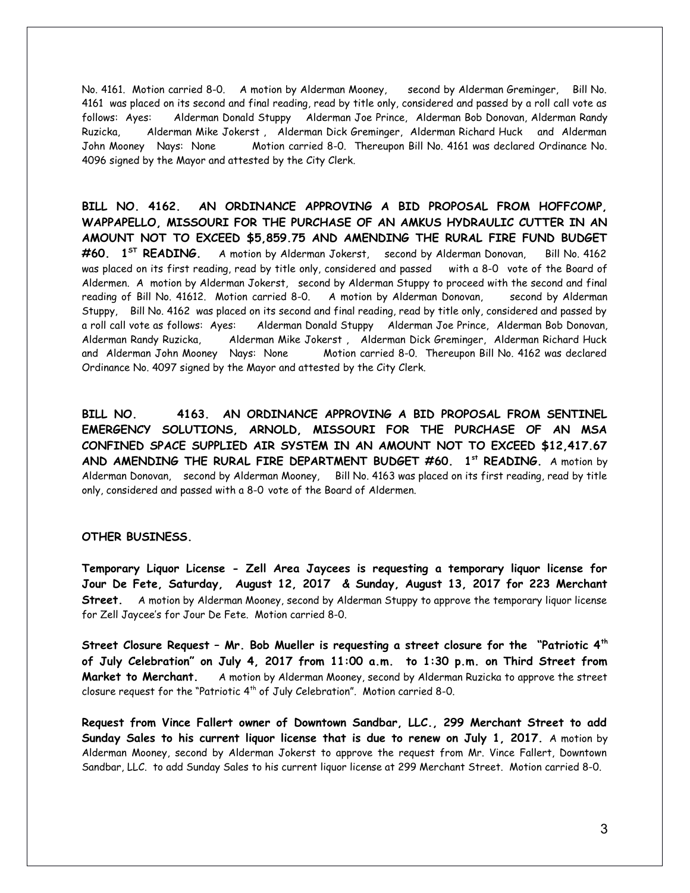No. 4161. Motion carried 8-0. A motion by Alderman Mooney, second by Alderman Greminger, Bill No. 4161 was placed on its second and final reading, read by title only, considered and passed by a roll call vote as follows: Ayes: Alderman Donald Stuppy Alderman Joe Prince, Alderman Bob Donovan, Alderman Randy Ruzicka, Alderman Mike Jokerst , Alderman Dick Greminger, Alderman Richard Huck and Alderman John Mooney Nays: None Motion carried 8-0. Thereupon Bill No. 4161 was declared Ordinance No. 4096 signed by the Mayor and attested by the City Clerk.

**BILL NO. 4162. AN ORDINANCE APPROVING A BID PROPOSAL FROM HOFFCOMP, WAPPAPELLO, MISSOURI FOR THE PURCHASE OF AN AMKUS HYDRAULIC CUTTER IN AN AMOUNT NOT TO EXCEED \$5,859.75 AND AMENDING THE RURAL FIRE FUND BUDGET #60. 1ST READING.** A motion by Alderman Jokerst, second by Alderman Donovan, Bill No. 4162 was placed on its first reading, read by title only, considered and passed with a 8-0 vote of the Board of Aldermen. A motion by Alderman Jokerst, second by Alderman Stuppy to proceed with the second and final reading of Bill No. 41612. Motion carried 8-0. A motion by Alderman Donovan, second by Alderman Stuppy, Bill No. 4162 was placed on its second and final reading, read by title only, considered and passed by a roll call vote as follows: Ayes: Alderman Donald Stuppy Alderman Joe Prince, Alderman Bob Donovan, Alderman Randy Ruzicka, Alderman Mike Jokerst , Alderman Dick Greminger, Alderman Richard Huck and Alderman John Mooney Nays: None Motion carried 8-0. Thereupon Bill No. 4162 was declared Ordinance No. 4097 signed by the Mayor and attested by the City Clerk.

**BILL NO. 4163. AN ORDINANCE APPROVING A BID PROPOSAL FROM SENTINEL EMERGENCY SOLUTIONS, ARNOLD, MISSOURI FOR THE PURCHASE OF AN MSA CONFINED SPACE SUPPLIED AIR SYSTEM IN AN AMOUNT NOT TO EXCEED \$12,417.67 AND AMENDING THE RURAL FIRE DEPARTMENT BUDGET #60. 1st READING.** A motion by Alderman Donovan, second by Alderman Mooney, Bill No. 4163 was placed on its first reading, read by title only, considered and passed with a 8-0 vote of the Board of Aldermen.

### **OTHER BUSINESS.**

**Temporary Liquor License - Zell Area Jaycees is requesting a temporary liquor license for Jour De Fete, Saturday, August 12, 2017 & Sunday, August 13, 2017 for 223 Merchant** Street. A motion by Alderman Mooney, second by Alderman Stuppy to approve the temporary liquor license for Zell Jaycee's for Jour De Fete. Motion carried 8-0.

**Street Closure Request – Mr. Bob Mueller is requesting a street closure for the "Patriotic 4th of July Celebration" on July 4, 2017 from 11:00 a.m. to 1:30 p.m. on Third Street from Market to Merchant.** A motion by Alderman Mooney, second by Alderman Ruzicka to approve the street closure request for the "Patriotic 4<sup>th</sup> of July Celebration". Motion carried 8-0.

**Request from Vince Fallert owner of Downtown Sandbar, LLC., 299 Merchant Street to add Sunday Sales to his current liquor license that is due to renew on July 1, 2017.** A motion by Alderman Mooney, second by Alderman Jokerst to approve the request from Mr. Vince Fallert, Downtown Sandbar, LLC. to add Sunday Sales to his current liquor license at 299 Merchant Street. Motion carried 8-0.